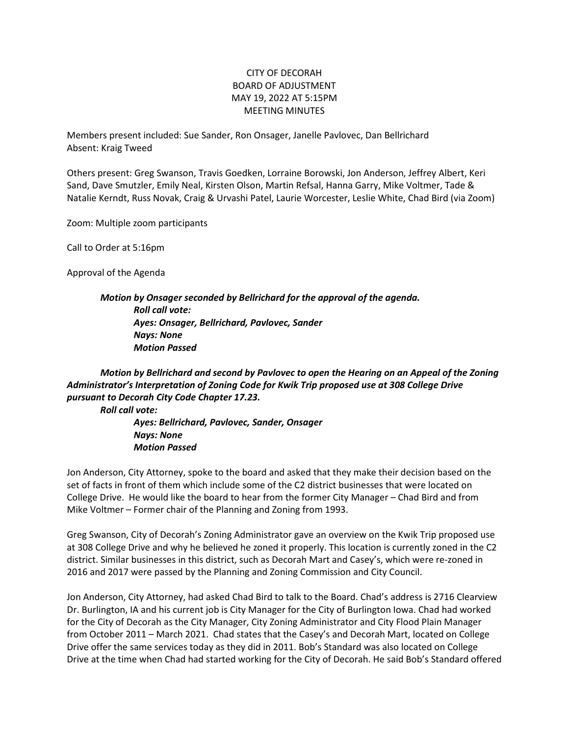## CITY OF DECORAH BOARD OF ADJUSTMENT MAY 19, 2022 AT 5:15PM MEETING MINUTES

Members present included: Sue Sander, Ron Onsager, Janelle Pavlovec, Dan Bellrichard Absent: Kraig Tweed

Others present: Greg Swanson, Travis Goedken, Lorraine Borowski, Jon Anderson, Jeffrey Albert, Keri Sand, Dave Smutzler, Emily Neal, Kirsten Olson, Martin Refsal, Hanna Garry, Mike Voltmer, Tade & Natalie Kerndt, Russ Novak, Craig & Urvashi Patel, Laurie Worcester, Leslie White, Chad Bird (via Zoom)

Zoom: Multiple zoom participants

Call to Order at 5:16pm

Approval of the Agenda

*Motion by Onsager seconded by Bellrichard for the approval of the agenda. Roll call vote: Ayes: Onsager, Bellrichard, Pavlovec, Sander Nays: None Motion Passed*

*Motion by Bellrichard and second by Pavlovec to open the Hearing on an Appeal of the Zoning Administrator's Interpretation of Zoning Code for Kwik Trip proposed use at 308 College Drive pursuant to Decorah City Code Chapter 17.23.*

*Roll call vote:*

*Ayes: Bellrichard, Pavlovec, Sander, Onsager Nays: None Motion Passed*

Jon Anderson, City Attorney, spoke to the board and asked that they make their decision based on the set of facts in front of them which include some of the C2 district businesses that were located on College Drive. He would like the board to hear from the former City Manager – Chad Bird and from Mike Voltmer – Former chair of the Planning and Zoning from 1993.

Greg Swanson, City of Decorah's Zoning Administrator gave an overview on the Kwik Trip proposed use at 308 College Drive and why he believed he zoned it properly. This location is currently zoned in the C2 district. Similar businesses in this district, such as Decorah Mart and Casey's, which were re-zoned in 2016 and 2017 were passed by the Planning and Zoning Commission and City Council.

Jon Anderson, City Attorney, had asked Chad Bird to talk to the Board. Chad's address is 2716 Clearview Dr. Burlington, IA and his current job is City Manager for the City of Burlington Iowa. Chad had worked for the City of Decorah as the City Manager, City Zoning Administrator and City Flood Plain Manager from October 2011 – March 2021. Chad states that the Casey's and Decorah Mart, located on College Drive offer the same services today as they did in 2011. Bob's Standard was also located on College Drive at the time when Chad had started working for the City of Decorah. He said Bob's Standard offered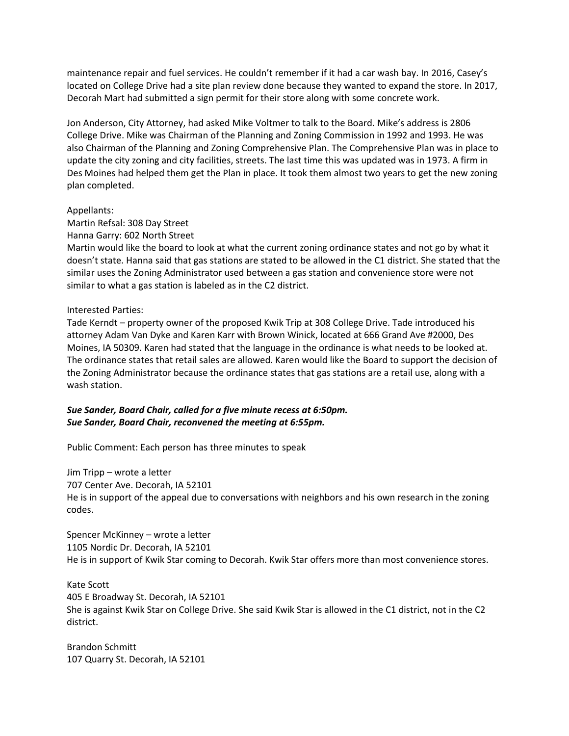maintenance repair and fuel services. He couldn't remember if it had a car wash bay. In 2016, Casey's located on College Drive had a site plan review done because they wanted to expand the store. In 2017, Decorah Mart had submitted a sign permit for their store along with some concrete work.

Jon Anderson, City Attorney, had asked Mike Voltmer to talk to the Board. Mike's address is 2806 College Drive. Mike was Chairman of the Planning and Zoning Commission in 1992 and 1993. He was also Chairman of the Planning and Zoning Comprehensive Plan. The Comprehensive Plan was in place to update the city zoning and city facilities, streets. The last time this was updated was in 1973. A firm in Des Moines had helped them get the Plan in place. It took them almost two years to get the new zoning plan completed.

#### Appellants:

Martin Refsal: 308 Day Street

Hanna Garry: 602 North Street

Martin would like the board to look at what the current zoning ordinance states and not go by what it doesn't state. Hanna said that gas stations are stated to be allowed in the C1 district. She stated that the similar uses the Zoning Administrator used between a gas station and convenience store were not similar to what a gas station is labeled as in the C2 district.

#### Interested Parties:

Tade Kerndt – property owner of the proposed Kwik Trip at 308 College Drive. Tade introduced his attorney Adam Van Dyke and Karen Karr with Brown Winick, located at 666 Grand Ave #2000, Des Moines, IA 50309. Karen had stated that the language in the ordinance is what needs to be looked at. The ordinance states that retail sales are allowed. Karen would like the Board to support the decision of the Zoning Administrator because the ordinance states that gas stations are a retail use, along with a wash station.

### *Sue Sander, Board Chair, called for a five minute recess at 6:50pm. Sue Sander, Board Chair, reconvened the meeting at 6:55pm.*

Public Comment: Each person has three minutes to speak

Jim Tripp – wrote a letter 707 Center Ave. Decorah, IA 52101 He is in support of the appeal due to conversations with neighbors and his own research in the zoning codes.

Spencer McKinney – wrote a letter 1105 Nordic Dr. Decorah, IA 52101 He is in support of Kwik Star coming to Decorah. Kwik Star offers more than most convenience stores.

Kate Scott 405 E Broadway St. Decorah, IA 52101 She is against Kwik Star on College Drive. She said Kwik Star is allowed in the C1 district, not in the C2 district.

Brandon Schmitt 107 Quarry St. Decorah, IA 52101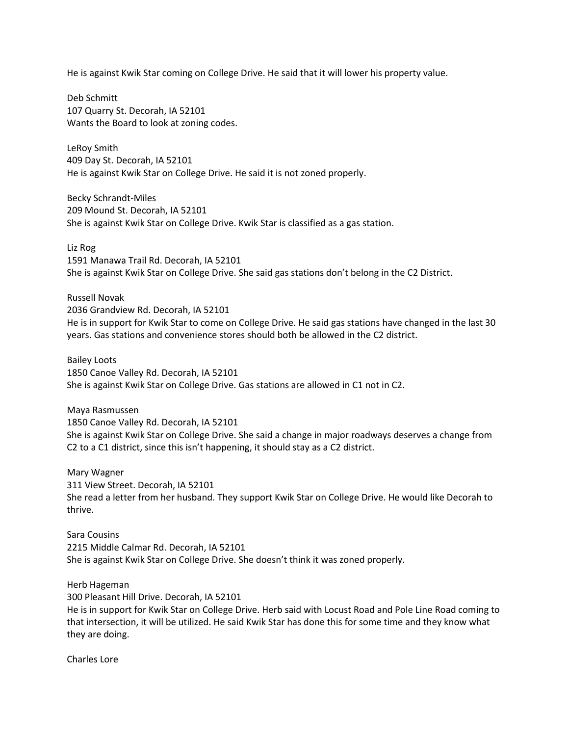He is against Kwik Star coming on College Drive. He said that it will lower his property value.

Deb Schmitt 107 Quarry St. Decorah, IA 52101 Wants the Board to look at zoning codes.

LeRoy Smith 409 Day St. Decorah, IA 52101 He is against Kwik Star on College Drive. He said it is not zoned properly.

Becky Schrandt-Miles 209 Mound St. Decorah, IA 52101 She is against Kwik Star on College Drive. Kwik Star is classified as a gas station.

Liz Rog 1591 Manawa Trail Rd. Decorah, IA 52101 She is against Kwik Star on College Drive. She said gas stations don't belong in the C2 District.

Russell Novak 2036 Grandview Rd. Decorah, IA 52101 He is in support for Kwik Star to come on College Drive. He said gas stations have changed in the last 30 years. Gas stations and convenience stores should both be allowed in the C2 district.

Bailey Loots 1850 Canoe Valley Rd. Decorah, IA 52101 She is against Kwik Star on College Drive. Gas stations are allowed in C1 not in C2.

Maya Rasmussen 1850 Canoe Valley Rd. Decorah, IA 52101 She is against Kwik Star on College Drive. She said a change in major roadways deserves a change from C2 to a C1 district, since this isn't happening, it should stay as a C2 district.

Mary Wagner 311 View Street. Decorah, IA 52101 She read a letter from her husband. They support Kwik Star on College Drive. He would like Decorah to thrive.

Sara Cousins 2215 Middle Calmar Rd. Decorah, IA 52101 She is against Kwik Star on College Drive. She doesn't think it was zoned properly.

Herb Hageman

300 Pleasant Hill Drive. Decorah, IA 52101

He is in support for Kwik Star on College Drive. Herb said with Locust Road and Pole Line Road coming to that intersection, it will be utilized. He said Kwik Star has done this for some time and they know what they are doing.

Charles Lore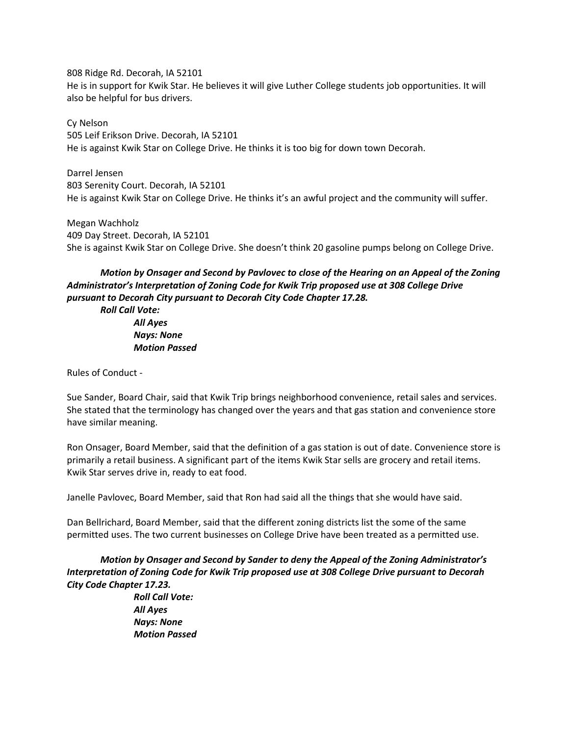808 Ridge Rd. Decorah, IA 52101 He is in support for Kwik Star. He believes it will give Luther College students job opportunities. It will also be helpful for bus drivers.

Cy Nelson 505 Leif Erikson Drive. Decorah, IA 52101 He is against Kwik Star on College Drive. He thinks it is too big for down town Decorah.

Darrel Jensen 803 Serenity Court. Decorah, IA 52101 He is against Kwik Star on College Drive. He thinks it's an awful project and the community will suffer.

Megan Wachholz 409 Day Street. Decorah, IA 52101 She is against Kwik Star on College Drive. She doesn't think 20 gasoline pumps belong on College Drive.

# *Motion by Onsager and Second by Pavlovec to close of the Hearing on an Appeal of the Zoning Administrator's Interpretation of Zoning Code for Kwik Trip proposed use at 308 College Drive pursuant to Decorah City pursuant to Decorah City Code Chapter 17.28.*

*Roll Call Vote: All Ayes Nays: None Motion Passed*

Rules of Conduct -

Sue Sander, Board Chair, said that Kwik Trip brings neighborhood convenience, retail sales and services. She stated that the terminology has changed over the years and that gas station and convenience store have similar meaning.

Ron Onsager, Board Member, said that the definition of a gas station is out of date. Convenience store is primarily a retail business. A significant part of the items Kwik Star sells are grocery and retail items. Kwik Star serves drive in, ready to eat food.

Janelle Pavlovec, Board Member, said that Ron had said all the things that she would have said.

Dan Bellrichard, Board Member, said that the different zoning districts list the some of the same permitted uses. The two current businesses on College Drive have been treated as a permitted use.

*Motion by Onsager and Second by Sander to deny the Appeal of the Zoning Administrator's Interpretation of Zoning Code for Kwik Trip proposed use at 308 College Drive pursuant to Decorah City Code Chapter 17.23.* 

*Roll Call Vote: All Ayes Nays: None Motion Passed*